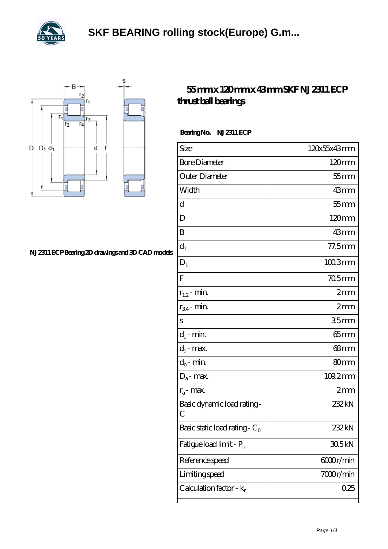



## **[NJ 2311 ECP Bearing 2D drawings and 3D CAD models](https://levitra-genericos.com/pic-587781.html)**

## **[55 mm x 120 mm x 43 mm SKF NJ 2311 ECP](https://levitra-genericos.com/skf-nj-2311-ecp-bearing/) [thrust ball bearings](https://levitra-genericos.com/skf-nj-2311-ecp-bearing/)**

Bearing No. NJ 2311 ECP

| Size                                       | 120x55x43mm      |
|--------------------------------------------|------------------|
| <b>Bore Diameter</b>                       | $120 \text{mm}$  |
| Outer Diameter                             | $55$ mm          |
| Width                                      | 43mm             |
| d                                          | $55$ mm          |
| D                                          | $120 \text{mm}$  |
| B                                          | 43mm             |
| $d_1$                                      | $77.5$ mm        |
| $D_1$                                      | $1003$ mm        |
| F                                          | $705$ mm         |
| $r_{1,2}$ - min.                           | 2mm              |
| $r_{34}$ - min.                            | 2mm              |
| S                                          | 35 <sub>mm</sub> |
| $d_a$ - min.                               | $65$ mm          |
| $d_a$ - max.                               | $68 \text{mm}$   |
| $d_b$ - min.                               | 80 <sub>mm</sub> |
| $D_a$ - max.                               | 109.2mm          |
| $r_a$ - max.                               | 2mm              |
| Basic dynamic load rating-<br>$\mathcal C$ | 232kN            |
| Basic static load rating - $C_0$           | 232kN            |
| Fatigue load limit - $P_u$                 | 305kN            |
| Reference speed                            | 6000r/min        |
| Limiting speed                             | 7000r/min        |
| Calculation factor - $k_r$                 | 0.25             |
|                                            |                  |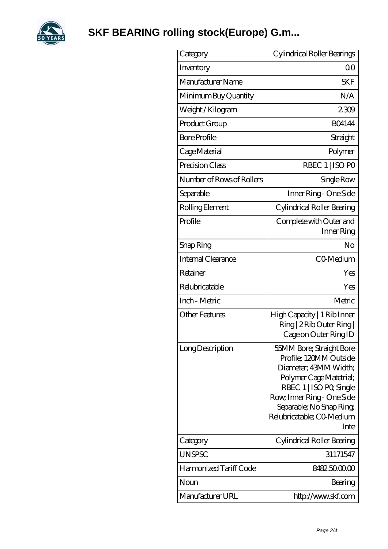

## **[SKF BEARING rolling stock\(Europe\) G.m...](https://levitra-genericos.com)**

| Category                  | Cylindrical Roller Bearings                                                                                                                                                                                                      |
|---------------------------|----------------------------------------------------------------------------------------------------------------------------------------------------------------------------------------------------------------------------------|
| Inventory                 | $\Omega$ <sup>O</sup>                                                                                                                                                                                                            |
| Manufacturer Name         | <b>SKF</b>                                                                                                                                                                                                                       |
| Minimum Buy Quantity      | N/A                                                                                                                                                                                                                              |
| Weight / Kilogram         | 2309                                                                                                                                                                                                                             |
| Product Group             | <b>BO4144</b>                                                                                                                                                                                                                    |
| <b>Bore Profile</b>       | Straight                                                                                                                                                                                                                         |
| Cage Material             | Polymer                                                                                                                                                                                                                          |
| Precision Class           | RBEC 1   ISO PO                                                                                                                                                                                                                  |
| Number of Rows of Rollers | Single Row                                                                                                                                                                                                                       |
| Separable                 | Inner Ring - One Side                                                                                                                                                                                                            |
| Rolling Element           | Cylindrical Roller Bearing                                                                                                                                                                                                       |
| Profile                   | Complete with Outer and<br>Inner Ring                                                                                                                                                                                            |
| Snap Ring                 | No                                                                                                                                                                                                                               |
| <b>Internal Clearance</b> | CO-Medium                                                                                                                                                                                                                        |
| Retainer                  | Yes                                                                                                                                                                                                                              |
| Relubricatable            | Yes                                                                                                                                                                                                                              |
| Inch - Metric             | Metric                                                                                                                                                                                                                           |
| <b>Other Features</b>     | High Capacity   1 Rib Inner<br>Ring   2 Rib Outer Ring  <br>Cage on Outer Ring ID                                                                                                                                                |
| Long Description          | 55MM Bore; Straight Bore<br>Profile; 120MM Outside<br>Diameter; 43MM Width;<br>Polymer Cage Matetrial;<br>RBEC 1   ISO PO, Single<br>Row, Inner Ring - One Side<br>Separable; No Snap Ring;<br>Relubricatable; CO Medium<br>Inte |
| Category                  | Cylindrical Roller Bearing                                                                                                                                                                                                       |
| UNSPSC                    | 31171547                                                                                                                                                                                                                         |
| Harmonized Tariff Code    | 8482500000                                                                                                                                                                                                                       |
| Noun                      | Bearing                                                                                                                                                                                                                          |
| Manufacturer URL          | http://www.skf.com                                                                                                                                                                                                               |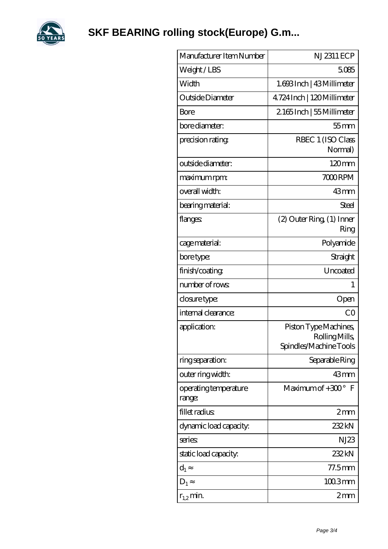

| Manufacturer Item Number        | <b>NJ2311 ECP</b>                                                |
|---------------------------------|------------------------------------------------------------------|
| Weight/LBS                      | 5085                                                             |
| Width                           | 1.693Inch   43Millimeter                                         |
| Outside Diameter                | 4.724 Inch   120 Millimeter                                      |
| Bore                            | 2165Inch   55 Millimeter                                         |
| bore diameter:                  | $55$ mm                                                          |
| precision rating                | RBEC 1 (ISO Class<br>Normal)                                     |
| outside diameter:               | 120mm                                                            |
| maximum rpm:                    | 7000RPM                                                          |
| overall width:                  | 43mm                                                             |
| bearing material:               | Steel                                                            |
| flanges:                        | (2) Outer Ring (1) Inner<br>Ring                                 |
| cage material:                  | Polyamide                                                        |
| bore type:                      | Straight                                                         |
| finish/coating                  | Uncoated                                                         |
| number of rows                  | 1                                                                |
| closure type:                   | Open                                                             |
| internal clearance:             | CO                                                               |
| application:                    | Piston Type Machines,<br>Rolling Mills<br>Spindles/Machine Tools |
| ring separation:                | Separable Ring                                                   |
| outer ring width:               | $43$ mm                                                          |
| operating temperature<br>range: | Maximum of $+300^\circ$ F                                        |
| fillet radius                   | 2mm                                                              |
| dynamic load capacity:          | 232 kN                                                           |
| series:                         | NJ23                                                             |
| static load capacity:           | 232kN                                                            |
| $\mathrm{d}_{1}$                | $77.5$ mm                                                        |
| $D_1$                           | $1003$ mm                                                        |
| $r_{1,2}$ min.                  | $2 \text{mm}$                                                    |